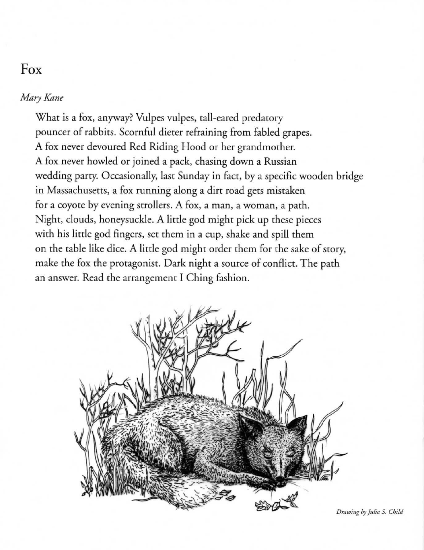## Fox

## *Mary Kane*

Whar is a fox, anyway? Vulpes vulpes, rail-eared predarory pouncer of rabbirs. Scornful dierer refraining from fabled grapes. A fox never devoured Red Riding Hood or her grandmother. A fox never howled or joined a pack, chasing down a Russian wedding party. Occasionally, lasr Sunday in facr, by a specific wooden bridge in Massachusetts, a fox running along a dirt road gets mistaken for a coyore by evening srrollers. A fox, a man, a woman, a path. Night, clouds, honeysuckle. A little god might pick up these pieces with his little god fingers, set them in a cup, shake and spill them on the table like dice. A little god might order them for the sake of story, make the fox the protagonist. Dark night a source of conflict. The path an answer. Read the arrangement I Ching fashion.



*Drawing by Julia S. Child*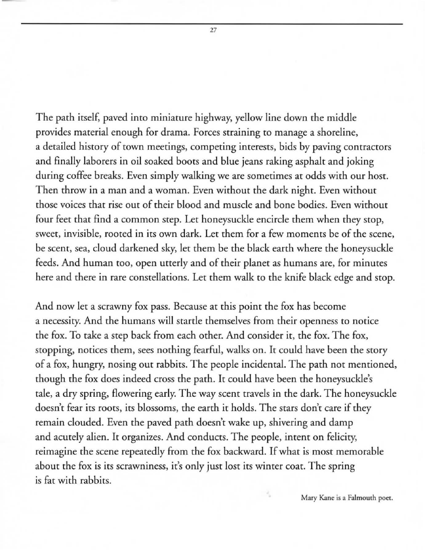The path itself, paved into miniature highway, yellow line down the middle provides material enough for drama. Forces straining to manage a shoreline, a detailed history of town meetings, competing interests, bids by paving contractors and finally laborers in oil soaked boots and blue jeans raking asphalt and joking during coffee breaks. Even simply walking we are sometimes at odds with our host. Then throw in a man and a woman. Even without the dark night. Even without those voices that rise out of their blood and muscle and bone bodies. Even without four feet that find a common step. Let honeysuckle encircle them when they stop, sweet, invisible, rooted in its own dark. Let them for a few moments be of the scene, be scent, sea, cloud darkened sky, let them be the black earth where the honeysuckle feeds. And human too, open utterly and of their planet as humans are, for minutes here and there in rare constellations. Let them walk to the knife black edge and stop.

And now let a scrawny fox pass. Because at this point the fox has become a necessiry. And the humans will startle themselves from their openness to notice the fox. To take a step back from each other. And consider it, the fox. The fox, stopping, notices them, sees nothing fearful, walks on. It could have been the story of a fox, hungry, nosing out rabbits. The people incidental. The path not mentioned, though the fox does indeed cross the path. It could have been the honeysuckle's tale, a dry spring, flowering early. The way scent travels in the dark. The honeysuckle doesn't fear its roots, its blossoms, the earth it holds. The stars don't care if they remain clouded. Even the paved path doesn't wake up, shivering and damp and acutely alien. It organizes. And conducts. The people, intent on felicity, reimagine the scene repeatedly from the fox backward. If what is most memorable about the fox is its scrawniness, it's only just lost its winter coat. The spring is fat with rabbits.

**Mary Kane is a Falmomh poer.**